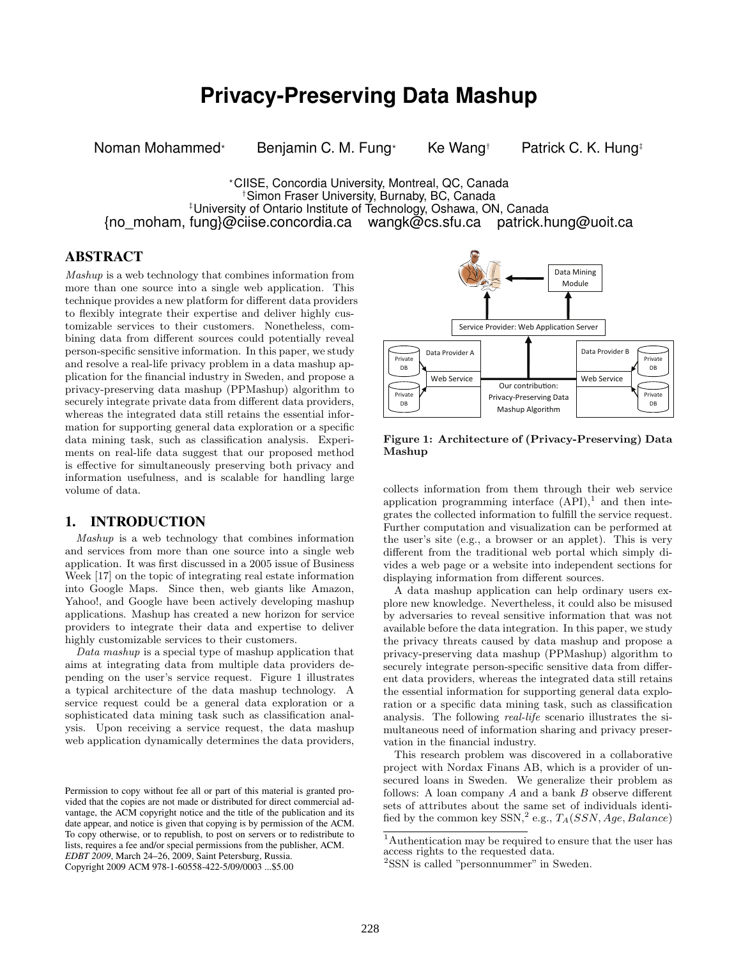# **Privacy-Preserving Data Mashup**

Noman Mohammed<sup>\*</sup> Benjamin C. M. Fung<sup>\*</sup> Ke Wang<sup>†</sup> Patrick C. K. Hung<sup>‡</sup>

?CIISE, Concordia University, Montreal, QC, Canada †Simon Fraser University, Burnaby, BC, Canada ‡University of Ontario Institute of Technology, Oshawa, ON, Canada {no\_moham, fung}@ciise.concordia.ca wangk@cs.sfu.ca patrick.hung@uoit.ca

# ABSTRACT

Mashup is a web technology that combines information from more than one source into a single web application. This technique provides a new platform for different data providers to flexibly integrate their expertise and deliver highly customizable services to their customers. Nonetheless, combining data from different sources could potentially reveal person-specific sensitive information. In this paper, we study and resolve a real-life privacy problem in a data mashup application for the financial industry in Sweden, and propose a privacy-preserving data mashup (PPMashup) algorithm to securely integrate private data from different data providers, whereas the integrated data still retains the essential information for supporting general data exploration or a specific data mining task, such as classification analysis. Experiments on real-life data suggest that our proposed method is effective for simultaneously preserving both privacy and information usefulness, and is scalable for handling large volume of data.

# 1. INTRODUCTION

Mashup is a web technology that combines information and services from more than one source into a single web application. It was first discussed in a 2005 issue of Business Week [17] on the topic of integrating real estate information into Google Maps. Since then, web giants like Amazon, Yahoo!, and Google have been actively developing mashup applications. Mashup has created a new horizon for service providers to integrate their data and expertise to deliver highly customizable services to their customers.

Data mashup is a special type of mashup application that aims at integrating data from multiple data providers depending on the user's service request. Figure 1 illustrates a typical architecture of the data mashup technology. A service request could be a general data exploration or a sophisticated data mining task such as classification analysis. Upon receiving a service request, the data mashup web application dynamically determines the data providers,



Figure 1: Architecture of (Privacy-Preserving) Data Mashup

collects information from them through their web service application programming interface  $(API)$ ,<sup>1</sup> and then integrates the collected information to fulfill the service request. Further computation and visualization can be performed at the user's site (e.g., a browser or an applet). This is very different from the traditional web portal which simply divides a web page or a website into independent sections for displaying information from different sources.

A data mashup application can help ordinary users explore new knowledge. Nevertheless, it could also be misused by adversaries to reveal sensitive information that was not available before the data integration. In this paper, we study the privacy threats caused by data mashup and propose a privacy-preserving data mashup (PPMashup) algorithm to securely integrate person-specific sensitive data from different data providers, whereas the integrated data still retains the essential information for supporting general data exploration or a specific data mining task, such as classification analysis. The following real-life scenario illustrates the simultaneous need of information sharing and privacy preservation in the financial industry.

This research problem was discovered in a collaborative project with Nordax Finans AB, which is a provider of unsecured loans in Sweden. We generalize their problem as follows: A loan company  $A$  and a bank  $B$  observe different sets of attributes about the same set of individuals identified by the common key SSN,<sup>2</sup> e.g.,  $T_A(SSN, Age, Balance)$ 

Permission to copy without fee all or part of this material is granted provided that the copies are not made or distributed for direct commercial advantage, the ACM copyright notice and the title of the publication and its date appear, and notice is given that copying is by permission of the ACM. To copy otherwise, or to republish, to post on servers or to redistribute to lists, requires a fee and/or special permissions from the publisher, ACM. *EDBT 2009*, March 24–26, 2009, Saint Petersburg, Russia. Copyright 2009 ACM 978-1-60558-422-5/09/0003 ...\$5.00

<sup>1</sup>Authentication may be required to ensure that the user has access rights to the requested data.

<sup>2</sup>SSN is called "personnummer" in Sweden.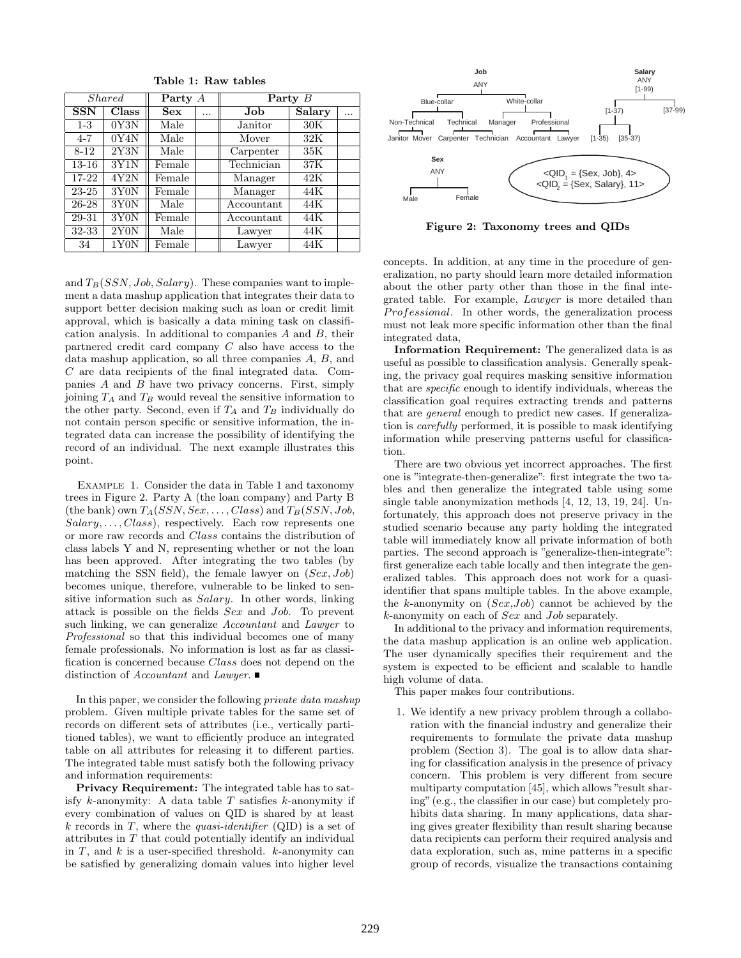| <i>Shared</i> |              | Party A         |  | Party $B$  |               |          |
|---------------|--------------|-----------------|--|------------|---------------|----------|
| <b>SSN</b>    | <b>Class</b> | Sex<br>$\cdots$ |  | Job.       | <b>Salary</b> | $\cdots$ |
| $1-3$         | 0Y3N         | Male            |  | Janitor    | 30K           |          |
| $4 - 7$       | 0Y4N         | Male            |  | Mover      | 32K           |          |
| $8 - 12$      | 2Y3N         | Male            |  | Carpenter  | 35K           |          |
| $13 - 16$     | 3Y1N         | Female          |  | Technician | 37K           |          |
| $17-22$       | 4Y2N         | Female          |  | Manager    | 42K           |          |
| $23 - 25$     | 3Y0N         | Female          |  | Manager    | 44K           |          |
| 26-28         | 3Y0N         | Male            |  | Accountant | 44K           |          |
| 29-31         | 3Y0N         | Female          |  | Accountant | 44K           |          |
| 32-33         | 2Y0N         | Male            |  | Lawyer     | 44K           |          |
| 34            | 1Y0N         | Female          |  | Lawyer     | 44K           |          |

Table 1: Raw tables

and  $T_B(SSN, Job, salary)$ . These companies want to implement a data mashup application that integrates their data to support better decision making such as loan or credit limit approval, which is basically a data mining task on classification analysis. In additional to companies A and B, their partnered credit card company C also have access to the data mashup application, so all three companies A, B, and C are data recipients of the final integrated data. Companies A and B have two privacy concerns. First, simply joining  $T_A$  and  $T_B$  would reveal the sensitive information to the other party. Second, even if  $T_A$  and  $T_B$  individually do not contain person specific or sensitive information, the integrated data can increase the possibility of identifying the record of an individual. The next example illustrates this point.

Example 1. Consider the data in Table 1 and taxonomy trees in Figure 2. Party A (the loan company) and Party B (the bank) own  $T_A(SSN, Sex, \ldots, Class)$  and  $T_B(SSN, Job,$  $Salary, \ldots, Class$ , respectively. Each row represents one or more raw records and Class contains the distribution of class labels Y and N, representing whether or not the loan has been approved. After integrating the two tables (by matching the SSN field), the female lawyer on (Sex, Job) becomes unique, therefore, vulnerable to be linked to sensitive information such as Salary. In other words, linking attack is possible on the fields Sex and Job. To prevent such linking, we can generalize Accountant and Lawyer to Professional so that this individual becomes one of many female professionals. No information is lost as far as classification is concerned because Class does not depend on the distinction of *Accountant* and *Lawyer*.

In this paper, we consider the following *private data mashup* problem. Given multiple private tables for the same set of records on different sets of attributes (i.e., vertically partitioned tables), we want to efficiently produce an integrated table on all attributes for releasing it to different parties. The integrated table must satisfy both the following privacy and information requirements:

Privacy Requirement: The integrated table has to satisfy  $k$ -anonymity: A data table  $T$  satisfies  $k$ -anonymity if every combination of values on QID is shared by at least k records in T, where the *quasi-identifier* (QID) is a set of attributes in T that could potentially identify an individual in  $T$ , and  $k$  is a user-specified threshold.  $k$ -anonymity can be satisfied by generalizing domain values into higher level



Figure 2: Taxonomy trees and QIDs

concepts. In addition, at any time in the procedure of generalization, no party should learn more detailed information about the other party other than those in the final integrated table. For example, Lawyer is more detailed than Professional. In other words, the generalization process must not leak more specific information other than the final integrated data,

Information Requirement: The generalized data is as useful as possible to classification analysis. Generally speaking, the privacy goal requires masking sensitive information that are specific enough to identify individuals, whereas the classification goal requires extracting trends and patterns that are general enough to predict new cases. If generalization is carefully performed, it is possible to mask identifying information while preserving patterns useful for classification.

There are two obvious yet incorrect approaches. The first one is "integrate-then-generalize": first integrate the two tables and then generalize the integrated table using some single table anonymization methods [4, 12, 13, 19, 24]. Unfortunately, this approach does not preserve privacy in the studied scenario because any party holding the integrated table will immediately know all private information of both parties. The second approach is "generalize-then-integrate": first generalize each table locally and then integrate the generalized tables. This approach does not work for a quasiidentifier that spans multiple tables. In the above example, the k-anonymity on (Sex,Job) cannot be achieved by the k-anonymity on each of Sex and Job separately.

In additional to the privacy and information requirements, the data mashup application is an online web application. The user dynamically specifies their requirement and the system is expected to be efficient and scalable to handle high volume of data.

This paper makes four contributions.

1. We identify a new privacy problem through a collaboration with the financial industry and generalize their requirements to formulate the private data mashup problem (Section 3). The goal is to allow data sharing for classification analysis in the presence of privacy concern. This problem is very different from secure multiparty computation [45], which allows "result sharing" (e.g., the classifier in our case) but completely prohibits data sharing. In many applications, data sharing gives greater flexibility than result sharing because data recipients can perform their required analysis and data exploration, such as, mine patterns in a specific group of records, visualize the transactions containing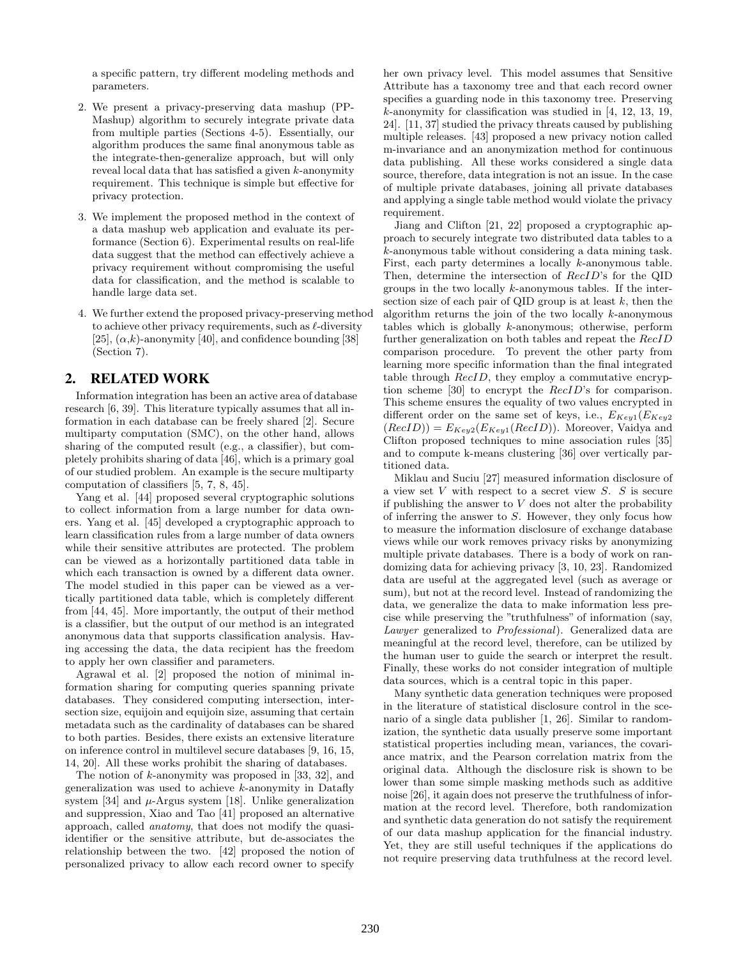a specific pattern, try different modeling methods and parameters.

- 2. We present a privacy-preserving data mashup (PP-Mashup) algorithm to securely integrate private data from multiple parties (Sections 4-5). Essentially, our algorithm produces the same final anonymous table as the integrate-then-generalize approach, but will only reveal local data that has satisfied a given k-anonymity requirement. This technique is simple but effective for privacy protection.
- 3. We implement the proposed method in the context of a data mashup web application and evaluate its performance (Section 6). Experimental results on real-life data suggest that the method can effectively achieve a privacy requirement without compromising the useful data for classification, and the method is scalable to handle large data set.
- 4. We further extend the proposed privacy-preserving method to achieve other privacy requirements, such as  $\ell$ -diversity [25],  $(\alpha, k)$ -anonymity [40], and confidence bounding [38] (Section 7).

# 2. RELATED WORK

Information integration has been an active area of database research [6, 39]. This literature typically assumes that all information in each database can be freely shared [2]. Secure multiparty computation (SMC), on the other hand, allows sharing of the computed result (e.g., a classifier), but completely prohibits sharing of data [46], which is a primary goal of our studied problem. An example is the secure multiparty computation of classifiers [5, 7, 8, 45].

Yang et al. [44] proposed several cryptographic solutions to collect information from a large number for data owners. Yang et al. [45] developed a cryptographic approach to learn classification rules from a large number of data owners while their sensitive attributes are protected. The problem can be viewed as a horizontally partitioned data table in which each transaction is owned by a different data owner. The model studied in this paper can be viewed as a vertically partitioned data table, which is completely different from [44, 45]. More importantly, the output of their method is a classifier, but the output of our method is an integrated anonymous data that supports classification analysis. Having accessing the data, the data recipient has the freedom to apply her own classifier and parameters.

Agrawal et al. [2] proposed the notion of minimal information sharing for computing queries spanning private databases. They considered computing intersection, intersection size, equijoin and equijoin size, assuming that certain metadata such as the cardinality of databases can be shared to both parties. Besides, there exists an extensive literature on inference control in multilevel secure databases [9, 16, 15, 14, 20]. All these works prohibit the sharing of databases.

The notion of k-anonymity was proposed in [33, 32], and generalization was used to achieve k-anonymity in Datafly system [34] and  $\mu$ -Argus system [18]. Unlike generalization and suppression, Xiao and Tao [41] proposed an alternative approach, called anatomy, that does not modify the quasiidentifier or the sensitive attribute, but de-associates the relationship between the two. [42] proposed the notion of personalized privacy to allow each record owner to specify

her own privacy level. This model assumes that Sensitive Attribute has a taxonomy tree and that each record owner specifies a guarding node in this taxonomy tree. Preserving  $k$ -anonymity for classification was studied in [4, 12, 13, 19, 24]. [11, 37] studied the privacy threats caused by publishing multiple releases. [43] proposed a new privacy notion called m-invariance and an anonymization method for continuous data publishing. All these works considered a single data source, therefore, data integration is not an issue. In the case of multiple private databases, joining all private databases and applying a single table method would violate the privacy requirement.

Jiang and Clifton [21, 22] proposed a cryptographic approach to securely integrate two distributed data tables to a k-anonymous table without considering a data mining task. First, each party determines a locally k-anonymous table. Then, determine the intersection of RecID's for the QID groups in the two locally k-anonymous tables. If the intersection size of each pair of QID group is at least  $k$ , then the algorithm returns the join of the two locally  $k$ -anonymous tables which is globally k-anonymous; otherwise, perform further generalization on both tables and repeat the RecID comparison procedure. To prevent the other party from learning more specific information than the final integrated table through  $RecID$ , they employ a commutative encryption scheme [30] to encrypt the RecID's for comparison. This scheme ensures the equality of two values encrypted in different order on the same set of keys, i.e.,  $E_{Kev1}(E_{Kev2})$  $(RecID) = E_{Key2}(E_{Key1}(RecID))$ . Moreover, Vaidya and Clifton proposed techniques to mine association rules [35] and to compute k-means clustering [36] over vertically partitioned data.

Miklau and Suciu [27] measured information disclosure of a view set  $V$  with respect to a secret view  $S$ .  $S$  is secure if publishing the answer to  $V$  does not alter the probability of inferring the answer to S. However, they only focus how to measure the information disclosure of exchange database views while our work removes privacy risks by anonymizing multiple private databases. There is a body of work on randomizing data for achieving privacy [3, 10, 23]. Randomized data are useful at the aggregated level (such as average or sum), but not at the record level. Instead of randomizing the data, we generalize the data to make information less precise while preserving the "truthfulness" of information (say, Lawyer generalized to Professional). Generalized data are meaningful at the record level, therefore, can be utilized by the human user to guide the search or interpret the result. Finally, these works do not consider integration of multiple data sources, which is a central topic in this paper.

Many synthetic data generation techniques were proposed in the literature of statistical disclosure control in the scenario of a single data publisher [1, 26]. Similar to randomization, the synthetic data usually preserve some important statistical properties including mean, variances, the covariance matrix, and the Pearson correlation matrix from the original data. Although the disclosure risk is shown to be lower than some simple masking methods such as additive noise [26], it again does not preserve the truthfulness of information at the record level. Therefore, both randomization and synthetic data generation do not satisfy the requirement of our data mashup application for the financial industry. Yet, they are still useful techniques if the applications do not require preserving data truthfulness at the record level.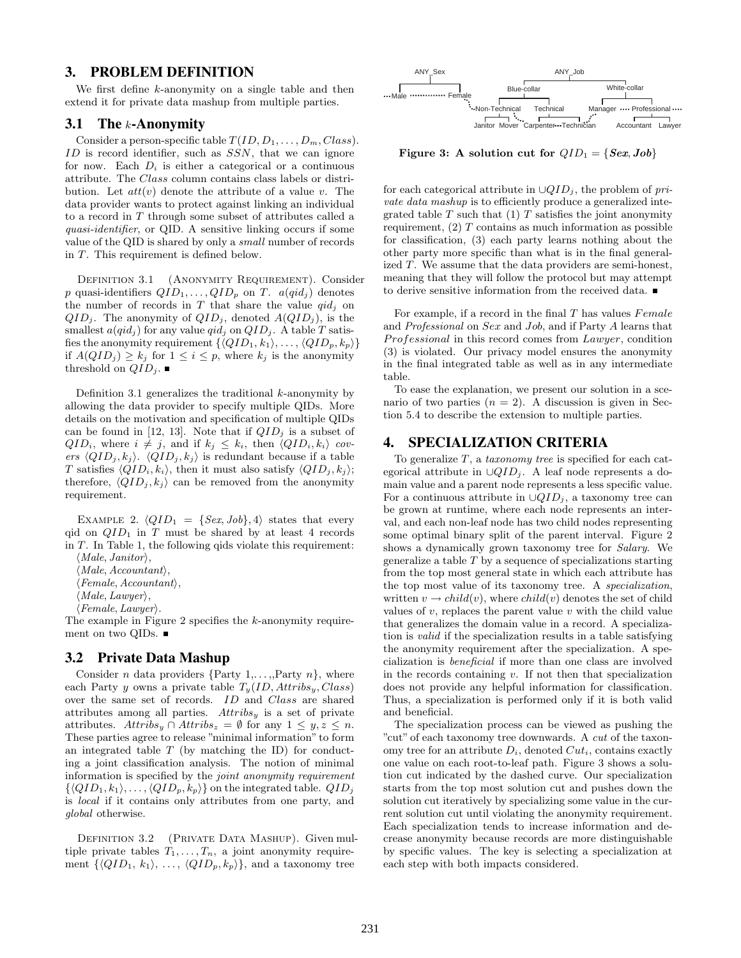# 3. PROBLEM DEFINITION

We first define k-anonymity on a single table and then extend it for private data mashup from multiple parties.

#### **3.1** The  $k$ -Anonymity

Consider a person-specific table  $T(ID, D_1, \ldots, D_m, Class)$ . ID is record identifier, such as SSN, that we can ignore for now. Each  $D_i$  is either a categorical or a continuous attribute. The Class column contains class labels or distribution. Let  $att(v)$  denote the attribute of a value v. The data provider wants to protect against linking an individual to a record in T through some subset of attributes called a quasi-identifier, or QID. A sensitive linking occurs if some value of the QID is shared by only a small number of records in T. This requirement is defined below.

DEFINITION 3.1 (ANONYMITY REQUIREMENT). Consider p quasi-identifiers  $QID_1, \ldots, QID_p$  on T.  $a(qid_j)$  denotes the number of records in T that share the value  $qid<sub>j</sub>$  on  $QID_i$ . The anonymity of  $QID_i$ , denoted  $A(QID_i)$ , is the smallest  $a(qid_i)$  for any value  $qid_i$  on  $QID_i$ . A table T satisfies the anonymity requirement  $\{ \langle QID_1, k_1 \rangle, \ldots, \langle QID_p, k_p \rangle \}$ if  $A(QID_j) \geq k_j$  for  $1 \leq i \leq p$ , where  $k_j$  is the anonymity threshold on  $QID_i$ .

Definition 3.1 generalizes the traditional  $k$ -anonymity by allowing the data provider to specify multiple QIDs. More details on the motivation and specification of multiple QIDs can be found in [12, 13]. Note that if  $QID_j$  is a subset of  $QID_i$ , where  $i \neq j$ , and if  $k_j \leq k_i$ , then  $\langle QID_i, k_i \rangle$  covers  $\langle QID_j , k_j \rangle$ .  $\langle QID_j , k_j \rangle$  is redundant because if a table T satisfies  $\langle QID_i, k_i \rangle$ , then it must also satisfy  $\langle QID_i, k_j \rangle$ ; therefore,  $\langle QID_i, k_i \rangle$  can be removed from the anonymity requirement.

EXAMPLE 2.  $\langle QID_1 = \{Sex, Job\}, 4 \rangle$  states that every qid on  $QID_1$  in T must be shared by at least 4 records in T. In Table 1, the following qids violate this requirement:

 $\langle Male, Janitor \rangle,$ 

 $\langle Male, Accountant \rangle,$ 

 $\langle Female, Accountant\rangle,$ 

 $\langle Male, Lawyer \rangle,$ 

 $\langle Female, Lawyer\rangle.$ 

The example in Figure 2 specifies the k-anonymity requirement on two QIDs.  $\blacksquare$ 

### 3.2 Private Data Mashup

Consider *n* data providers  $\{Party 1, \ldots, Party n\}$ , where each Party y owns a private table  $T_y(ID, Attribs_y, Class)$ over the same set of records. ID and Class are shared attributes among all parties.  $Attribs_y$  is a set of private attributes.  $Attribs_y ∩ Attribs_z = ∅ for any 1 ≤ y, z ≤ n.$ These parties agree to release "minimal information" to form an integrated table  $T$  (by matching the ID) for conducting a joint classification analysis. The notion of minimal information is specified by the joint anonymity requirement  $\{\langle QID_1, k_1\rangle, \ldots, \langle QID_n, k_n\rangle\}$  on the integrated table.  $QID_i$ is local if it contains only attributes from one party, and global otherwise.

DEFINITION 3.2 (PRIVATE DATA MASHUP). Given multiple private tables  $T_1, \ldots, T_n$ , a joint anonymity requirement  $\{\langle QID_1, k_1 \rangle, \ldots, \langle QID_p, k_p \rangle\}$ , and a taxonomy tree



Figure 3: A solution cut for  $QID_1 = \{Sex, Job\}$ 

for each categorical attribute in  $\cup QID_j$ , the problem of private data mashup is to efficiently produce a generalized integrated table  $T$  such that (1)  $T$  satisfies the joint anonymity requirement,  $(2)$  T contains as much information as possible for classification, (3) each party learns nothing about the other party more specific than what is in the final generalized T. We assume that the data providers are semi-honest, meaning that they will follow the protocol but may attempt to derive sensitive information from the received data. ■

For example, if a record in the final  $T$  has values  $Female$ and Professional on Sex and Job, and if Party A learns that Professional in this record comes from Lawyer, condition (3) is violated. Our privacy model ensures the anonymity in the final integrated table as well as in any intermediate table.

To ease the explanation, we present our solution in a scenario of two parties  $(n = 2)$ . A discussion is given in Section 5.4 to describe the extension to multiple parties.

## 4. SPECIALIZATION CRITERIA

To generalize  $T$ , a taxonomy tree is specified for each categorical attribute in  $\bigcup QID_i$ . A leaf node represents a domain value and a parent node represents a less specific value. For a continuous attribute in  $\cup QID_i$ , a taxonomy tree can be grown at runtime, where each node represents an interval, and each non-leaf node has two child nodes representing some optimal binary split of the parent interval. Figure 2 shows a dynamically grown taxonomy tree for Salary. We generalize a table  $T$  by a sequence of specializations starting from the top most general state in which each attribute has the top most value of its taxonomy tree. A specialization, written  $v \to child(v)$ , where  $child(v)$  denotes the set of child values of  $v$ , replaces the parent value  $v$  with the child value that generalizes the domain value in a record. A specialization is valid if the specialization results in a table satisfying the anonymity requirement after the specialization. A specialization is beneficial if more than one class are involved in the records containing  $v$ . If not then that specialization does not provide any helpful information for classification. Thus, a specialization is performed only if it is both valid and beneficial.

The specialization process can be viewed as pushing the "cut" of each taxonomy tree downwards. A cut of the taxonomy tree for an attribute  $D_i$ , denoted  $Cut_i$ , contains exactly one value on each root-to-leaf path. Figure 3 shows a solution cut indicated by the dashed curve. Our specialization starts from the top most solution cut and pushes down the solution cut iteratively by specializing some value in the current solution cut until violating the anonymity requirement. Each specialization tends to increase information and decrease anonymity because records are more distinguishable by specific values. The key is selecting a specialization at each step with both impacts considered.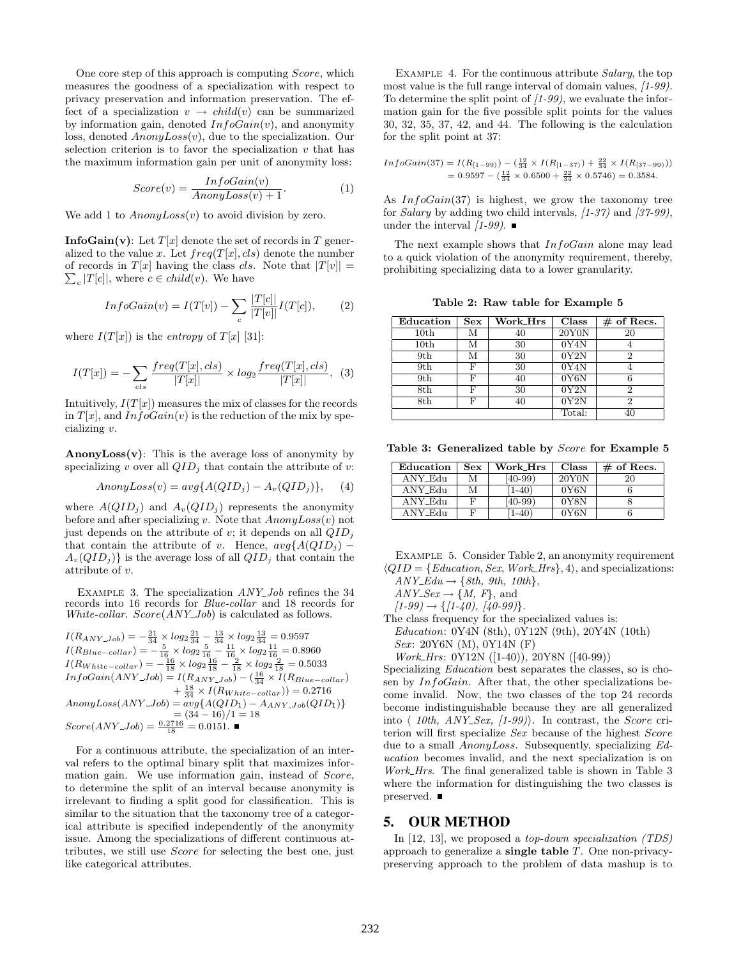One core step of this approach is computing Score, which measures the goodness of a specialization with respect to privacy preservation and information preservation. The effect of a specialization  $v \rightarrow child(v)$  can be summarized by information gain, denoted  $InfoGain(v)$ , and anonymity loss, denoted  $AnonyLoss(v)$ , due to the specialization. Our selection criterion is to favor the specialization  $v$  that has the maximum information gain per unit of anonymity loss:

$$
Score(v) = \frac{InfoGain(v)}{AnonyLoss(v) + 1}.
$$
\n(1)

We add 1 to  $AnonyLoss(v)$  to avoid division by zero.

**InfoGain(v)**: Let  $T[x]$  denote the set of records in T generalized to the value x. Let  $freq(T[x], cls)$  denote the number of records in  $T[x]$  having the class *cls*. Note that  $|T[v]| =$  $_c |T[c]|$ , where  $c \in child(v)$ . We have

$$
InfoGain(v) = I(T[v]) - \sum_{c} \frac{|T[c]|}{|T[v]|} I(T[c]),
$$
 (2)

where  $I(T[x])$  is the entropy of  $T[x]$  [31]:

$$
I(T[x]) = -\sum_{cls} \frac{freq(T[x], cls)}{|T[x]|} \times log_2 \frac{freq(T[x], cls)}{|T[x]|},
$$
 (3)

Intuitively,  $I(T[x])$  measures the mix of classes for the records in  $T[x]$ , and  $InfoGain(v)$  is the reduction of the mix by specializing v.

**AnonyLoss(v)**: This is the average loss of anonymity by specializing v over all  $QID_i$  that contain the attribute of v:

$$
AnonyLoss(v) = avg\{A(QID_j) - A_v(QID_j)\},\tag{4}
$$

where  $A(QID_i)$  and  $A_v(QID_i)$  represents the anonymity before and after specializing v. Note that  $AnonyLoss(v)$  not just depends on the attribute of v; it depends on all  $QID_j$ that contain the attribute of v. Hence,  $avg\{A(QID_j) A_v(QID_j)$  is the average loss of all  $QID_j$  that contain the attribute of v.

EXAMPLE 3. The specialization  $ANY\_Job$  refines the 34 records into 16 records for Blue-collar and 18 records for White-collar.  $Score(ANY\_Job)$  is calculated as follows.

 $I(R_{ANY\_Job}) = -\frac{21}{34} \times log_2 \frac{21}{34} - \frac{13}{34} \times log_2 \frac{13}{34} = 0.9597$  $I(R_{Blue-collar}) = -\frac{5}{16} \times log_2 \frac{5}{16} - \frac{11}{16} \times log_2 \frac{11}{16} = 0.8960$  $I(R_{White-collar}) = -\frac{16}{18} \times log_2 \frac{16}{18} - \frac{2}{18} \times log_2 \frac{2}{18} = 0.5033$  $InfoGain(ANY\_Job) = I(R_{ANY\_Job}) - (\frac{16}{34} \times I(R_{Blue-collar})$  $+\frac{18}{34} \times I(R_{White-collar})) = 0.2716$  $AnonyLoss(ANY\_Job) = avg\{A(QID_1) - A_{ANY\_Job}(QID_1)\}$ <br>= (34 - 16)/1 = 18  $Score(ANY\_Job) = \frac{0.2716}{18} = 0.0151.$ 

For a continuous attribute, the specialization of an interval refers to the optimal binary split that maximizes information gain. We use information gain, instead of Score, to determine the split of an interval because anonymity is irrelevant to finding a split good for classification. This is similar to the situation that the taxonomy tree of a categorical attribute is specified independently of the anonymity issue. Among the specializations of different continuous attributes, we still use Score for selecting the best one, just like categorical attributes.

Example 4. For the continuous attribute Salary, the top most value is the full range interval of domain values, [1-99). To determine the split point of  $(1-99)$ , we evaluate the information gain for the five possible split points for the values 30, 32, 35, 37, 42, and 44. The following is the calculation for the split point at 37:

$$
InfoGain(37) = I(R_{[1-99)}) - (\frac{12}{34} \times I(R_{[1-37)}) + \frac{22}{34} \times I(R_{[37-99)}))
$$
  
= 0.9597 - (\frac{12}{34} \times 0.6500 + \frac{22}{34} \times 0.5746) = 0.3584.

As  $InfoGain(37)$  is highest, we grow the taxonomy tree for Salary by adding two child intervals,  $(1-37)$  and  $(37-99)$ , under the interval  $(1-99)$ .

The next example shows that  $InfoGain$  alone may lead to a quick violation of the anonymity requirement, thereby, prohibiting specializing data to a lower granularity.

Table 2: Raw table for Example 5

| ${\bf Education}$ | Sex | <b>Work_Hrs</b> | Class  | $#$ of Recs. |
|-------------------|-----|-----------------|--------|--------------|
| 10 <sub>th</sub>  | М   | 40              | 20Y0N  | 20           |
| 10th              | М   | 30              | 0Y4N   |              |
| 9th               | М   | 30              | 0Y2N   | 9            |
| 9th               | F   | 30              | 0Y4N   |              |
| 9th               | F   | 40              | 0Y6N   |              |
| 8th               | F   | 30              | 0Y2N   | 2            |
| $_{\rm 8th}$      | F   | 40              | 0Y2N   | 2            |
|                   |     |                 | Total: |              |

Table 3: Generalized table by *Score* for Example 5

| Education | Sex. | <b>Work_Hrs</b> | Class | $\#$ of Recs. |
|-----------|------|-----------------|-------|---------------|
| ANY Edu   | М    | $(40-99)$       | 20Y0N | 20            |
| ANY_Edu   | М    | $1 - 40$        | 0Y6N  |               |
| ANY_Edu   |      | $40 - 99'$      | 0Y8N  |               |
| ANY Edu   |      | 1-40            | 0Y6N  |               |

Example 5. Consider Table 2, an anonymity requirement  $\langle QID = \{Education, Sex, Work\_Hrs\}, 4\rangle$ , and specializations:

$$
ANY\_Edu \rightarrow \{8th, 9th, 10th\},\
$$

 $ANY\_Sex \rightarrow \{M, F\}$ , and

 $[1-99] \rightarrow \{[1-40], [40-99]\}.$ 

The class frequency for the specialized values is: Education: 0Y4N (8th), 0Y12N (9th), 20Y4N (10th)  $Sex: 20Y6N (M), 0Y14N (F)$ Work Hrs: 0Y12N ([1-40)), 20Y8N ([40-99))

Specializing Education best separates the classes, so is chosen by  $InfoGain$ . After that, the other specializations become invalid. Now, the two classes of the top 24 records become indistinguishable because they are all generalized into  $\langle$  10th, ANY Sex, [1-99]). In contrast, the Score criterion will first specialize Sex because of the highest Score due to a small AnonyLoss. Subsequently, specializing Education becomes invalid, and the next specialization is on Work\_Hrs. The final generalized table is shown in Table 3 where the information for distinguishing the two classes is preserved. ■

### 5. OUR METHOD

In [12, 13], we proposed a *top-down specialization (TDS)* approach to generalize a single table T. One non-privacypreserving approach to the problem of data mashup is to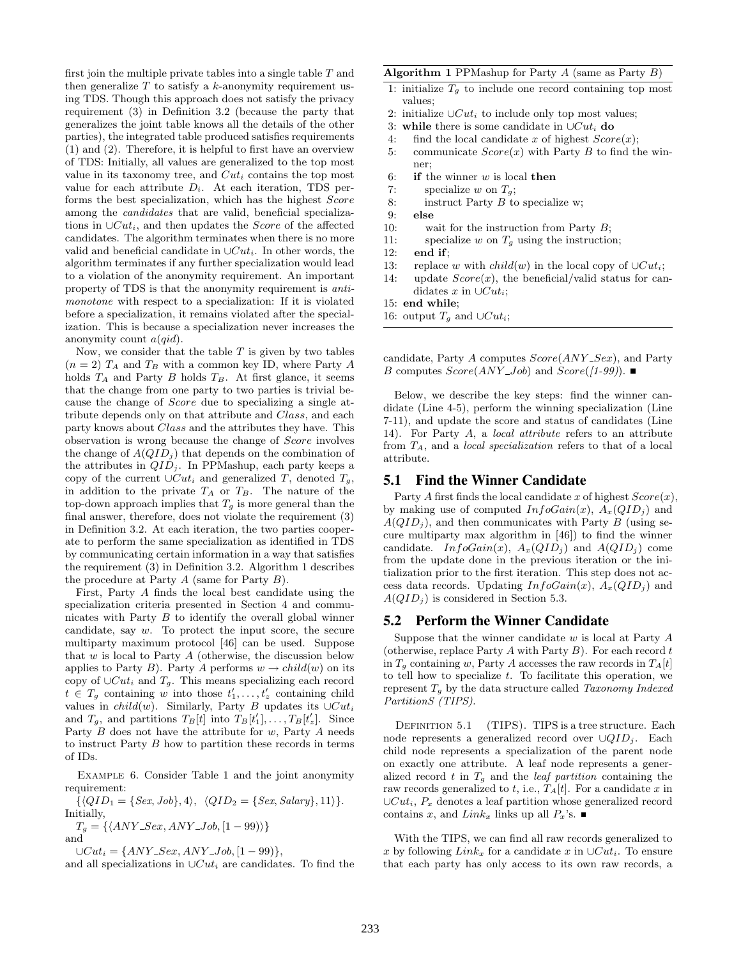first join the multiple private tables into a single table  $T$  and then generalize  $T$  to satisfy a k-anonymity requirement using TDS. Though this approach does not satisfy the privacy requirement (3) in Definition 3.2 (because the party that generalizes the joint table knows all the details of the other parties), the integrated table produced satisfies requirements (1) and (2). Therefore, it is helpful to first have an overview of TDS: Initially, all values are generalized to the top most value in its taxonomy tree, and  $Cut_i$  contains the top most value for each attribute  $D_i$ . At each iteration, TDS performs the best specialization, which has the highest Score among the candidates that are valid, beneficial specializations in  $\cup Cut_i$ , and then updates the *Score* of the affected candidates. The algorithm terminates when there is no more valid and beneficial candidate in  $\cup Cut_i$ . In other words, the algorithm terminates if any further specialization would lead to a violation of the anonymity requirement. An important property of TDS is that the anonymity requirement is antimonotone with respect to a specialization: If it is violated before a specialization, it remains violated after the specialization. This is because a specialization never increases the anonymity count  $a(qid)$ .

Now, we consider that the table  $T$  is given by two tables  $(n = 2)$   $T_A$  and  $T_B$  with a common key ID, where Party A holds  $T_A$  and Party  $B$  holds  $T_B$ . At first glance, it seems that the change from one party to two parties is trivial because the change of Score due to specializing a single attribute depends only on that attribute and Class, and each party knows about Class and the attributes they have. This observation is wrong because the change of Score involves the change of  $A(QID<sub>j</sub>)$  that depends on the combination of the attributes in  $QID_j$ . In PPMashup, each party keeps a copy of the current  $\cup Cut_i$  and generalized T, denoted  $T_g$ , in addition to the private  $T_A$  or  $T_B$ . The nature of the top-down approach implies that  $T_g$  is more general than the final answer, therefore, does not violate the requirement (3) in Definition 3.2. At each iteration, the two parties cooperate to perform the same specialization as identified in TDS by communicating certain information in a way that satisfies the requirement (3) in Definition 3.2. Algorithm 1 describes the procedure at Party  $A$  (same for Party  $B$ ).

First, Party A finds the local best candidate using the specialization criteria presented in Section 4 and communicates with Party  $B$  to identify the overall global winner candidate, say  $w$ . To protect the input score, the secure multiparty maximum protocol [46] can be used. Suppose that  $w$  is local to Party  $A$  (otherwise, the discussion below applies to Party B). Party A performs  $w \rightarrow child(w)$  on its copy of ∪ $Cut_i$  and  $T_g$ . This means specializing each record  $t \in T_g$  containing w into those  $t'_1, \ldots, t'_z$  containing child values in  $child(w)$ . Similarly, Party B updates its ∪Cut<sub>i</sub> and  $T_g$ , and partitions  $T_B[t]$  into  $T_B[t'_1], \ldots, T_B[t'_z]$ . Since Party  $B$  does not have the attribute for  $w$ , Party  $A$  needs to instruct Party B how to partition these records in terms of IDs.

Example 6. Consider Table 1 and the joint anonymity requirement:

 $\{\langle QID_1 = \{Sex, Job\}, 4\rangle, \ \langle QID_2 = \{Sex, salary\}, 11\rangle\}.$ Initially,

 $T_q = \{ \langle ANY\_Sex, ANY\_Job, [1 - 99] \rangle \}$ and

 $\bigcup Cut_i = \{ANY\_Sex, ANY\_Job, [1-99]\},\$ 

and all specializations in  $\cup Cut_i$  are candidates. To find the

**Algorithm 1** PPMashup for Party  $A$  (same as Party  $B$ )

- 1: initialize  $T_q$  to include one record containing top most values;
- 2: initialize ∪ $Cut_i$  to include only top most values;
- 3: while there is some candidate in  $\cup Cut_i$  do
- 4: find the local candidate x of highest  $Score(x);$
- 5: communicate  $Score(x)$  with Party B to find the winner;
- 6: if the winner  $w$  is local then
- 7: specialize w on  $T_q$ ;
- 8: instruct Party B to specialize w;
- 9: else
- 10: wait for the instruction from Party B;
- 11: specialize w on  $T<sub>g</sub>$  using the instruction;
- 12: end if;
- 13: replace w with  $child(w)$  in the local copy of ∪ $Cut_i$ ;
- 14: update  $Score(x)$ , the beneficial/valid status for candidates x in ∪ $Cut_i$ ;
- 15: end while;
- 16: output  $T_g$  and ∪ $Cut_i$ ;

candidate, Party A computes  $Score(ANY\_Sex)$ , and Party B computes  $Score(ANY\_Job)$  and  $Score([1-99])$ .

Below, we describe the key steps: find the winner candidate (Line 4-5), perform the winning specialization (Line 7-11), and update the score and status of candidates (Line 14). For Party A, a local attribute refers to an attribute from  $T_A$ , and a *local specialization* refers to that of a local attribute.

#### 5.1 Find the Winner Candidate

Party A first finds the local candidate x of highest  $Score(x)$ , by making use of computed  $InfoGain(x)$ ,  $A_x(QID_j)$  and  $A(QID<sub>i</sub>)$ , and then communicates with Party B (using secure multiparty max algorithm in [46]) to find the winner candidate. InfoGain $(x)$ ,  $A_x(QID_j)$  and  $A(QID_j)$  come from the update done in the previous iteration or the initialization prior to the first iteration. This step does not access data records. Updating  $InfoGain(x)$ ,  $A_x(QID_i)$  and  $A(QID<sub>j</sub>)$  is considered in Section 5.3.

#### 5.2 Perform the Winner Candidate

Suppose that the winner candidate  $w$  is local at Party  $A$ (otherwise, replace Party  $A$  with Party  $B$ ). For each record  $t$ in  $T_q$  containing w, Party A accesses the raw records in  $T_A[t]$ to tell how to specialize  $t$ . To facilitate this operation, we represent  $T_q$  by the data structure called Taxonomy Indexed PartitionS (TIPS).

DEFINITION 5.1 (TIPS). TIPS is a tree structure. Each node represents a generalized record over  $∪QID_j$ . Each child node represents a specialization of the parent node on exactly one attribute. A leaf node represents a generalized record t in  $T_g$  and the *leaf partition* containing the raw records generalized to t, i.e.,  $T_A[t]$ . For a candidate x in  $\cup Cut_i$ ,  $P_x$  denotes a leaf partition whose generalized record contains x, and  $Link_x$  links up all  $P_x$ 's.

With the TIPS, we can find all raw records generalized to x by following  $Link_x$  for a candidate x in  $\cup Cut_i$ . To ensure that each party has only access to its own raw records, a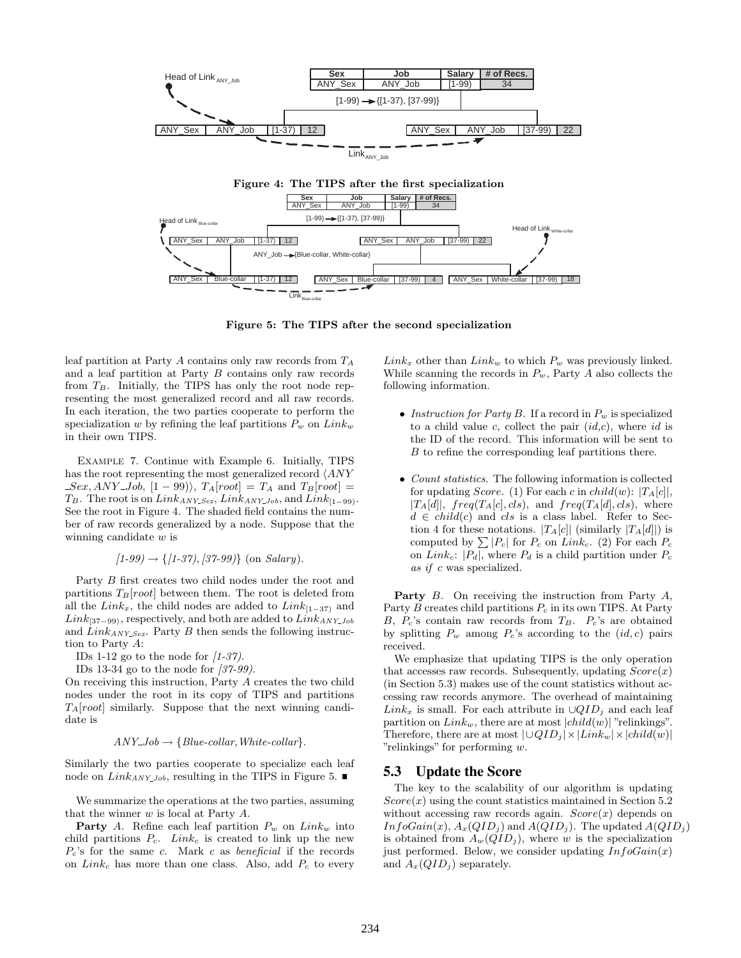

Figure 5: The TIPS after the second specialization

leaf partition at Party  $A$  contains only raw records from  $T_A$ and a leaf partition at Party B contains only raw records from  $T_B$ . Initially, the TIPS has only the root node representing the most generalized record and all raw records. In each iteration, the two parties cooperate to perform the specialization w by refining the leaf partitions  $P_w$  on  $Link_w$ in their own TIPS.

Example 7. Continue with Example 6. Initially, TIPS has the root representing the most generalized record  $\langle ANY \rangle$  $Sex, ANY\_Job, [1-99]\rangle, T_A[root] = T_A$  and  $T_B[root] =$  $T_B$ . The root is on  $Link_{ANY\_Sex}$ ,  $Link_{ANY\_Job}$ , and  $Link_{[1-99)}$ . See the root in Figure 4. The shaded field contains the number of raw records generalized by a node. Suppose that the winning candidate  $w$  is

 $[1-99] \rightarrow \{[1-37], [37-99]\}$  (on Salary).

Party B first creates two child nodes under the root and partitions  $T_B[root]$  between them. The root is deleted from all the  $Link_x$ , the child nodes are added to  $Link_{[1-37)}$  and  $Link_{[37-99)}$ , respectively, and both are added to  $Link_{ANY\_Job}$ and  $Link_{ANY\_Sex}$ . Party B then sends the following instruction to Party A:

IDs 1-12 go to the node for  $(1-37)$ .

IDs 13-34 go to the node for [37-99).

On receiving this instruction, Party A creates the two child nodes under the root in its copy of TIPS and partitions  $T_A$ [*root*] similarly. Suppose that the next winning candidate is

 $ANY\_Job \rightarrow \{Blue-collar, White-collar\}.$ 

Similarly the two parties cooperate to specialize each leaf node on  $Link_{ANY\_Job},$  resulting in the TIPS in Figure 5.  $\blacksquare$ 

We summarize the operations at the two parties, assuming that the winner w is local at Party A.

**Party** A. Refine each leaf partition  $P_w$  on  $Link_w$  into child partitions  $P_c$ . Link<sub>c</sub> is created to link up the new  $P_c$ 's for the same c. Mark c as *beneficial* if the records on  $Link_c$  has more than one class. Also, add  $P_c$  to every

 $Link_x$  other than  $Link_w$  to which  $P_w$  was previously linked. While scanning the records in  $P_w$ , Party A also collects the following information.

- Instruction for Party B. If a record in  $P_w$  is specialized to a child value c, collect the pair  $(id,c)$ , where id is the ID of the record. This information will be sent to B to refine the corresponding leaf partitions there.
- Count statistics. The following information is collected for updating *Score*. (1) For each c in child(w):  $|T_A[c]|$ ,  $|T_A[d]|$ ,  $freq(T_A[c], cls)$ , and  $freq(T_A[d], cls)$ , where  $d \in child(c)$  and  $cls$  is a class label. Refer to Section 4 for these notations.  $|T_A[c]|$  (similarly  $|T_A[d]|$ ) is computed by  $\sum |P_c|$  for  $P_c$  on Link<sub>c</sub>. (2) For each  $P_c$ on Link<sub>c</sub>:  $|P_d|$ , where  $P_d$  is a child partition under  $P_c$ as if c was specialized.

**Party**  $B$ . On receiving the instruction from Party  $A$ , Party  $B$  creates child partitions  $P_c$  in its own TIPS. At Party B,  $P_c$ 's contain raw records from  $T_B$ .  $P_c$ 's are obtained by splitting  $P_w$  among  $P_c$ 's according to the  $(id, c)$  pairs received.

We emphasize that updating TIPS is the only operation that accesses raw records. Subsequently, updating  $Score(x)$ (in Section 5.3) makes use of the count statistics without accessing raw records anymore. The overhead of maintaining Link<sub>x</sub> is small. For each attribute in  $\cup QID_j$  and each leaf partition on  $Link_w$ , there are at most  $|child(w)|$  "relinkings". Therefore, there are at most  $|\bigcup QID_j| \times |Link_w| \times |child(w)|$ "relinkings" for performing  $w$ .

# 5.3 Update the Score

The key to the scalability of our algorithm is updating  $Score(x)$  using the count statistics maintained in Section 5.2 without accessing raw records again.  $Score(x)$  depends on InfoGain(x),  $A_x(QID_i)$  and  $A(QID_i)$ . The updated  $A(QID_i)$ is obtained from  $A_w(QID_j)$ , where w is the specialization just performed. Below, we consider updating  $InfoGain(x)$ and  $A_x(QID_i)$  separately.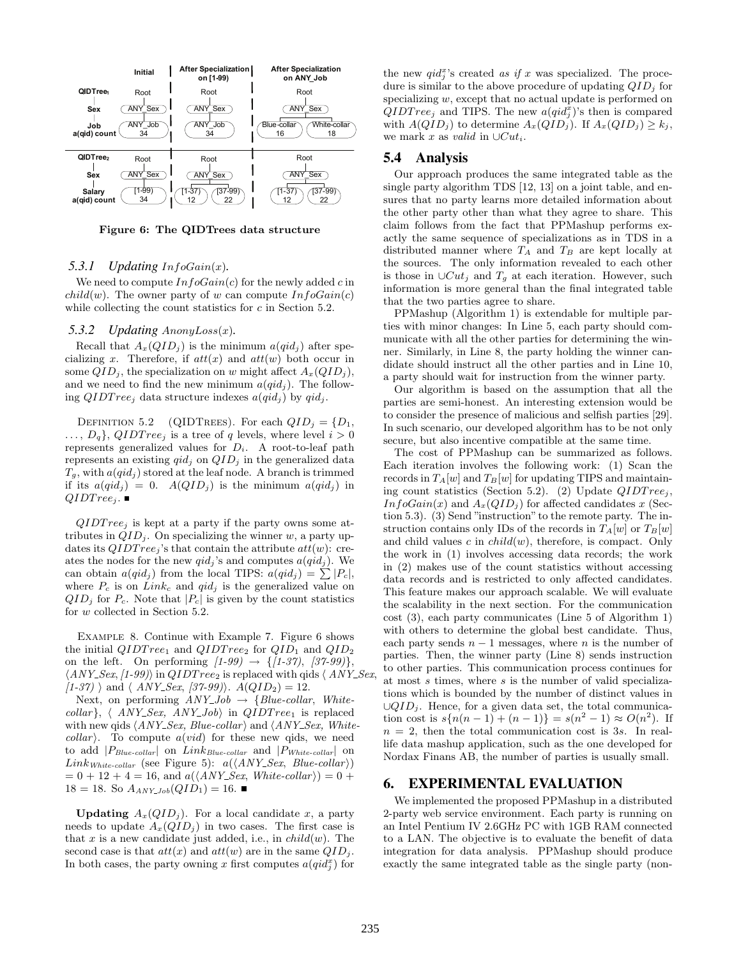

Figure 6: The QIDTrees data structure

#### *5.3.1 Updating* InfoGain(x)*.*

We need to compute  $InfoGain(c)$  for the newly added c in  $child(w)$ . The owner party of w can compute  $InfoGain(c)$ while collecting the count statistics for  $c$  in Section 5.2.

# *5.3.2 Updating* AnonyLoss(x)*.*

Recall that  $A_x(QID_j)$  is the minimum  $a(qid_j)$  after specializing x. Therefore, if  $att(x)$  and  $att(w)$  both occur in some  $QID_j$ , the specialization on w might affect  $A_x(QID_j)$ , and we need to find the new minimum  $a(qid_j)$ . The following  $QIDTree_j$  data structure indexes  $a(qid_j)$  by  $qid_j$ .

DEFINITION 5.2 (QIDTREES). For each  $QID_i = \{D_1,$  $\ldots, D_q$ , QIDT ree<sub>j</sub> is a tree of q levels, where level  $i > 0$ represents generalized values for  $D_i$ . A root-to-leaf path represents an existing  $qid_j$  on  $QID_j$  in the generalized data  $T_q$ , with  $a(qid_i)$  stored at the leaf node. A branch is trimmed if its  $a(qid_j) = 0$ .  $A(QID_j)$  is the minimum  $a(qid_j)$  in  $QIDTree_i$ .

 $QIDTree<sub>i</sub>$  is kept at a party if the party owns some attributes in  $QID<sub>i</sub>$ . On specializing the winner w, a party updates its  $QIDTree_i$ 's that contain the attribute  $att(w)$ : creates the nodes for the new  $qid_j$ 's and computes  $a(qid_j)$ . We can obtain  $a(qid_j)$  from the local TIPS:  $a(qid_j) = \sum |P_c|$ , where  $P_c$  is on  $Link_c$  and  $qid_j$  is the generalized value on  $QID_i$  for  $P_c$ . Note that  $|P_c|$  is given by the count statistics for w collected in Section 5.2.

Example 8. Continue with Example 7. Figure 6 shows the initial  $QIDTree_1$  and  $QIDTree_2$  for  $QID_1$  and  $QID_2$ on the left. On performing  $(1-99) \rightarrow \{(1-37), (37-99)\},\$  $\langle ANY\_Sex, (1-99) \rangle$  in  $QIDTree_2$  is replaced with qids  $\langle ANY\_Sex,$  $(1-37)$  and  $\langle ANY\_{Sex}, (37-99)\rangle$ .  $A(QID_2) = 12$ .

Next, on performing  $ANY\_Job \rightarrow \{Blue-collar, White$ collar},  $\langle$  ANY Sex, ANY Job) in QIDT ree<sub>1</sub> is replaced with new qids  $\langle ANY\_Sex, Blue-collar \rangle$  and  $\langle ANY\_Sex, White$  $collar$ . To compute  $a(vid)$  for these new gids, we need to add  $|P_{Blue\text{-}collar}|$  on  $Link_{Blue\text{-}collar}$  and  $|P_{White\text{-}collar}|$  on  $Link_{White-collar}$  (see Figure 5):  $a(\langle ANY\_Sex, Blue-collar \rangle)$  $= 0 + 12 + 4 = 16$ , and  $a({\langle ANY \rangle}$  Sex, White-collar)  $= 0 +$  $18 = 18$ . So  $A_{ANY\_Job}(QID_1) = 16$ .

**Updating**  $A_x(QID_i)$ . For a local candidate x, a party needs to update  $A_x(QID_i)$  in two cases. The first case is that  $x$  is a new candidate just added, i.e., in  $child(w)$ . The second case is that  $att(x)$  and  $att(w)$  are in the same  $QID_i$ . In both cases, the party owning x first computes  $a(qid_j^x)$  for

the new  $qid_j^x$ 's created as if x was specialized. The procedure is similar to the above procedure of updating  $QID_i$  for specializing w, except that no actual update is performed on  $\overline{QIDTree_j}$  and TIPS. The new  $a(qid_j^x)$ 's then is compared with  $A(QID_j)$  to determine  $A_x(QID_j)$ . If  $A_x(QID_j) \geq k_j$ , we mark x as valid in  $\cup Cut_i$ .

# 5.4 Analysis

Our approach produces the same integrated table as the single party algorithm TDS [12, 13] on a joint table, and ensures that no party learns more detailed information about the other party other than what they agree to share. This claim follows from the fact that PPMashup performs exactly the same sequence of specializations as in TDS in a distributed manner where  $T_A$  and  $T_B$  are kept locally at the sources. The only information revealed to each other is those in ∪ $Cut_i$  and  $T_q$  at each iteration. However, such information is more general than the final integrated table that the two parties agree to share.

PPMashup (Algorithm 1) is extendable for multiple parties with minor changes: In Line 5, each party should communicate with all the other parties for determining the winner. Similarly, in Line 8, the party holding the winner candidate should instruct all the other parties and in Line 10, a party should wait for instruction from the winner party.

Our algorithm is based on the assumption that all the parties are semi-honest. An interesting extension would be to consider the presence of malicious and selfish parties [29]. In such scenario, our developed algorithm has to be not only secure, but also incentive compatible at the same time.

The cost of PPMashup can be summarized as follows. Each iteration involves the following work: (1) Scan the records in  $T_A[w]$  and  $T_B[w]$  for updating TIPS and maintaining count statistics (Section 5.2). (2) Update  $QIDTree_i$ , InfoGain(x) and  $A_x(QID_i)$  for affected candidates x (Section 5.3). (3) Send "instruction" to the remote party. The instruction contains only IDs of the records in  $T_A[w]$  or  $T_B[w]$ and child values c in  $child(w)$ , therefore, is compact. Only the work in (1) involves accessing data records; the work in (2) makes use of the count statistics without accessing data records and is restricted to only affected candidates. This feature makes our approach scalable. We will evaluate the scalability in the next section. For the communication cost (3), each party communicates (Line 5 of Algorithm 1) with others to determine the global best candidate. Thus, each party sends  $n-1$  messages, where n is the number of parties. Then, the winner party (Line 8) sends instruction to other parties. This communication process continues for at most s times, where s is the number of valid specializations which is bounded by the number of distinct values in  $\cup QID_i$ . Hence, for a given data set, the total communication cost is  $s\{n(n-1)+(n-1)\} = s(n^2-1) \approx O(n^2)$ . If  $n = 2$ , then the total communication cost is 3s. In reallife data mashup application, such as the one developed for Nordax Finans AB, the number of parties is usually small.

## 6. EXPERIMENTAL EVALUATION

We implemented the proposed PPMashup in a distributed 2-party web service environment. Each party is running on an Intel Pentium IV 2.6GHz PC with 1GB RAM connected to a LAN. The objective is to evaluate the benefit of data integration for data analysis. PPMashup should produce exactly the same integrated table as the single party (non-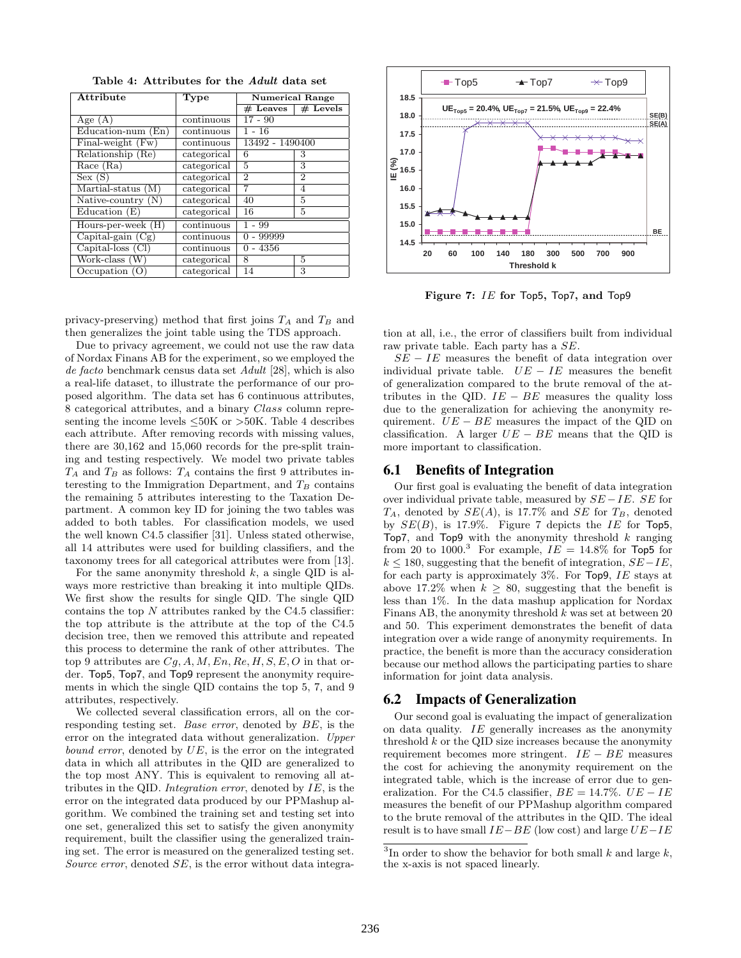|  | Table 4: Attributes for the <i>Adult</i> data set |  |  |  |  |
|--|---------------------------------------------------|--|--|--|--|
|--|---------------------------------------------------|--|--|--|--|

| <b>Attribute</b>     | Type        | <b>Numerical Range</b> |                |
|----------------------|-------------|------------------------|----------------|
|                      |             | $#$ Leaves             | $#$ Levels     |
| Age $(A)$            | continuous  | $17 - 90$              |                |
| Education-num (En)   | continuous  | $\overline{1}$ - 16    |                |
| Final-weight $(Fw)$  | continuous  | 13492 - 1490400        |                |
| Relationship (Re)    | categorical | 6                      | 3              |
| Race (Ra)            | categorical | 5                      | 3              |
| Sex(S)               | categorical | $\overline{2}$         | $\mathfrak{D}$ |
| Martial-status (M)   | categorical | 7                      | 4              |
| Native-country $(N)$ | categorical | 40                     | 5              |
| Education $(E)$      | categorical | 16                     | 5              |
| Hours-per-week (H)   | continuous  | - 99<br>1              |                |
| $Capital-gain (Cg)$  | continuous  | - 99999<br>0           |                |
| $Capital-loss (Cl)$  | continuous  | - 4356<br>0            |                |
| Work-class (W)       | categorical | 8                      | 5              |
| Occupation $(O)$     | categorical | 14                     | 3              |

privacy-preserving) method that first joins  $T_A$  and  $T_B$  and then generalizes the joint table using the TDS approach.

Due to privacy agreement, we could not use the raw data of Nordax Finans AB for the experiment, so we employed the de facto benchmark census data set Adult [28], which is also a real-life dataset, to illustrate the performance of our proposed algorithm. The data set has 6 continuous attributes, 8 categorical attributes, and a binary Class column representing the income levels ≤50K or >50K. Table 4 describes each attribute. After removing records with missing values, there are 30,162 and 15,060 records for the pre-split training and testing respectively. We model two private tables  $T_A$  and  $T_B$  as follows:  $T_A$  contains the first 9 attributes interesting to the Immigration Department, and  $T_B$  contains the remaining 5 attributes interesting to the Taxation Department. A common key ID for joining the two tables was added to both tables. For classification models, we used the well known C4.5 classifier [31]. Unless stated otherwise, all 14 attributes were used for building classifiers, and the taxonomy trees for all categorical attributes were from [13].

For the same anonymity threshold  $k$ , a single QID is always more restrictive than breaking it into multiple QIDs. We first show the results for single QID. The single QID contains the top  $N$  attributes ranked by the C4.5 classifier: the top attribute is the attribute at the top of the C4.5 decision tree, then we removed this attribute and repeated this process to determine the rank of other attributes. The top 9 attributes are  $Cg$ , A, M, En, Re, H, S, E, O in that order. Top5, Top7, and Top9 represent the anonymity requirements in which the single QID contains the top 5, 7, and 9 attributes, respectively.

We collected several classification errors, all on the corresponding testing set. Base error, denoted by BE, is the error on the integrated data without generalization. Upper bound error, denoted by  $UE$ , is the error on the integrated data in which all attributes in the QID are generalized to the top most ANY. This is equivalent to removing all attributes in the QID. Integration error, denoted by IE, is the error on the integrated data produced by our PPMashup algorithm. We combined the training set and testing set into one set, generalized this set to satisfy the given anonymity requirement, built the classifier using the generalized training set. The error is measured on the generalized testing set. Source error, denoted SE, is the error without data integra-



Figure 7:  $IE$  for Top5, Top7, and Top9

tion at all, i.e., the error of classifiers built from individual raw private table. Each party has a SE.

 $SE - IE$  measures the benefit of data integration over individual private table.  $UE - IE$  measures the benefit of generalization compared to the brute removal of the attributes in the QID.  $IE - BE$  measures the quality loss due to the generalization for achieving the anonymity requirement.  $UE - BE$  measures the impact of the QID on classification. A larger  $UE - BE$  means that the QID is more important to classification.

#### 6.1 Benefits of Integration

Our first goal is evaluating the benefit of data integration over individual private table, measured by  $SE - IE$ . SE for  $T_A$ , denoted by  $SE(A)$ , is 17.7% and  $SE$  for  $T_B$ , denoted by  $SE(B)$ , is 17.9%. Figure 7 depicts the IE for Top5, Top7, and Top9 with the anonymity threshold  $k$  ranging from 20 to 1000.<sup>3</sup> For example,  $IE = 14.8\%$  for Top5 for  $k \le 180$ , suggesting that the benefit of integration,  $SE-IE$ , for each party is approximately 3%. For Top9, IE stays at above 17.2% when  $k \geq 80$ , suggesting that the benefit is less than 1%. In the data mashup application for Nordax Finans AB, the anonymity threshold  $k$  was set at between 20 and 50. This experiment demonstrates the benefit of data integration over a wide range of anonymity requirements. In practice, the benefit is more than the accuracy consideration because our method allows the participating parties to share information for joint data analysis.

# 6.2 Impacts of Generalization

Our second goal is evaluating the impact of generalization on data quality. IE generally increases as the anonymity threshold  $k$  or the QID size increases because the anonymity requirement becomes more stringent.  $IE - BE$  measures the cost for achieving the anonymity requirement on the integrated table, which is the increase of error due to generalization. For the C4.5 classifier,  $BE = 14.7\%$ .  $UE - IE$ measures the benefit of our PPMashup algorithm compared to the brute removal of the attributes in the QID. The ideal result is to have small  $IE-BE$  (low cost) and large  $UE-IE$ 

<sup>&</sup>lt;sup>3</sup>In order to show the behavior for both small k and large  $k$ , the x-axis is not spaced linearly.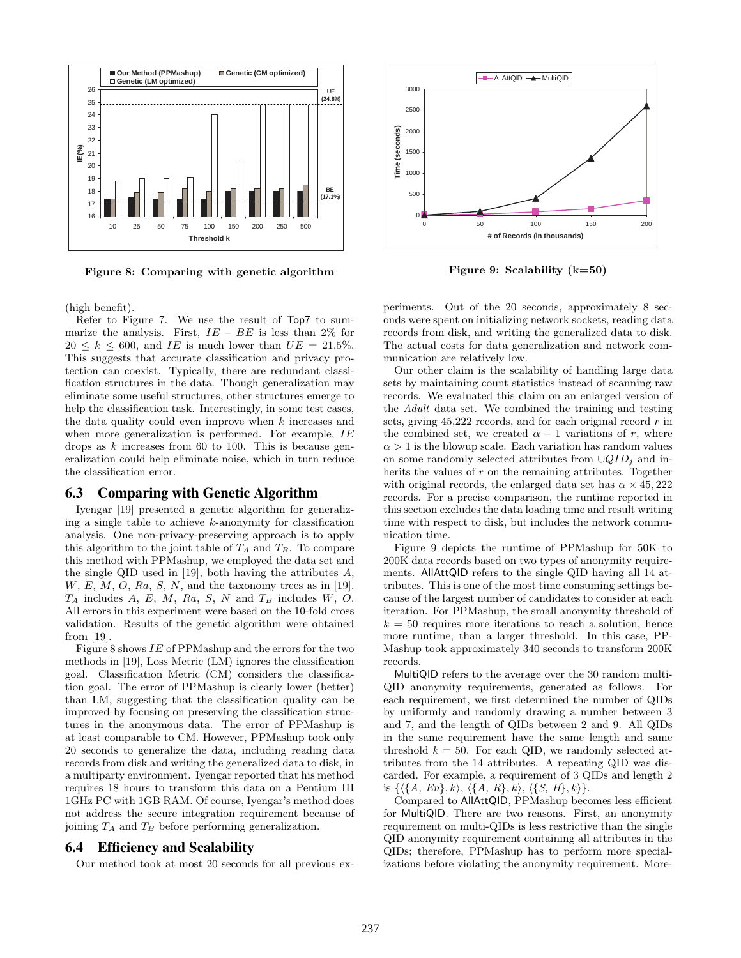

Figure 8: Comparing with genetic algorithm

(high benefit).

Refer to Figure 7. We use the result of Top7 to summarize the analysis. First,  $IE - BE$  is less than 2% for  $20 \leq k \leq 600$ , and IE is much lower than  $UE = 21.5\%$ . This suggests that accurate classification and privacy protection can coexist. Typically, there are redundant classification structures in the data. Though generalization may eliminate some useful structures, other structures emerge to help the classification task. Interestingly, in some test cases, the data quality could even improve when  $k$  increases and when more generalization is performed. For example,  $IE$ drops as  $k$  increases from 60 to 100. This is because generalization could help eliminate noise, which in turn reduce the classification error.

#### 6.3 Comparing with Genetic Algorithm

Iyengar [19] presented a genetic algorithm for generalizing a single table to achieve k-anonymity for classification analysis. One non-privacy-preserving approach is to apply this algorithm to the joint table of  $T_A$  and  $T_B$ . To compare this method with PPMashup, we employed the data set and the single QID used in [19], both having the attributes  $A$ ,  $W, E, M, O, Ra, S, N$ , and the taxonomy trees as in [19].  $T_A$  includes  $A, E, M, Ra, S, N$  and  $T_B$  includes  $W, O$ . All errors in this experiment were based on the 10-fold cross validation. Results of the genetic algorithm were obtained from [19].

Figure 8 shows IE of PPMashup and the errors for the two methods in [19], Loss Metric (LM) ignores the classification goal. Classification Metric (CM) considers the classification goal. The error of PPMashup is clearly lower (better) than LM, suggesting that the classification quality can be improved by focusing on preserving the classification structures in the anonymous data. The error of PPMashup is at least comparable to CM. However, PPMashup took only 20 seconds to generalize the data, including reading data records from disk and writing the generalized data to disk, in a multiparty environment. Iyengar reported that his method requires 18 hours to transform this data on a Pentium III 1GHz PC with 1GB RAM. Of course, Iyengar's method does not address the secure integration requirement because of joining  $T_A$  and  $T_B$  before performing generalization.

#### 6.4 Efficiency and Scalability

Our method took at most 20 seconds for all previous ex-



Figure 9: Scalability (k=50)

periments. Out of the 20 seconds, approximately 8 seconds were spent on initializing network sockets, reading data records from disk, and writing the generalized data to disk. The actual costs for data generalization and network communication are relatively low.

Our other claim is the scalability of handling large data sets by maintaining count statistics instead of scanning raw records. We evaluated this claim on an enlarged version of the Adult data set. We combined the training and testing sets, giving  $45,222$  records, and for each original record r in the combined set, we created  $\alpha - 1$  variations of r, where  $\alpha > 1$  is the blowup scale. Each variation has random values on some randomly selected attributes from  $\cup QID_i$  and inherits the values of r on the remaining attributes. Together with original records, the enlarged data set has  $\alpha \times 45,222$ records. For a precise comparison, the runtime reported in this section excludes the data loading time and result writing time with respect to disk, but includes the network communication time.

Figure 9 depicts the runtime of PPMashup for 50K to 200K data records based on two types of anonymity requirements. AllAttQID refers to the single QID having all 14 attributes. This is one of the most time consuming settings because of the largest number of candidates to consider at each iteration. For PPMashup, the small anonymity threshold of  $k = 50$  requires more iterations to reach a solution, hence more runtime, than a larger threshold. In this case, PP-Mashup took approximately 340 seconds to transform 200K records.

MultiQID refers to the average over the 30 random multi-QID anonymity requirements, generated as follows. For each requirement, we first determined the number of QIDs by uniformly and randomly drawing a number between 3 and 7, and the length of QIDs between 2 and 9. All QIDs in the same requirement have the same length and same threshold  $k = 50$ . For each QID, we randomly selected attributes from the 14 attributes. A repeating QID was discarded. For example, a requirement of 3 QIDs and length 2 is  $\{\langle \{A, En\}, k\rangle, \langle \{A, R\}, k\rangle, \langle \{S, H\}, k\rangle\}.$ 

Compared to AllAttQID, PPMashup becomes less efficient for MultiQID. There are two reasons. First, an anonymity requirement on multi-QIDs is less restrictive than the single QID anonymity requirement containing all attributes in the QIDs; therefore, PPMashup has to perform more specializations before violating the anonymity requirement. More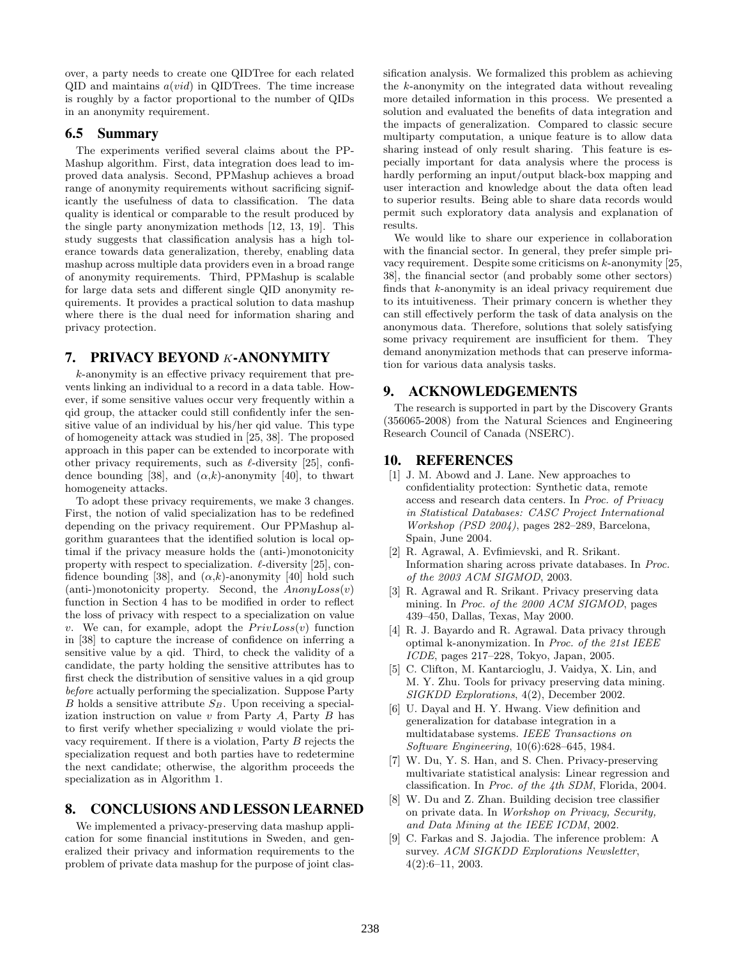over, a party needs to create one QIDTree for each related  $QID$  and maintains  $a(vid)$  in  $QIDTrees$ . The time increase is roughly by a factor proportional to the number of QIDs in an anonymity requirement.

#### 6.5 Summary

The experiments verified several claims about the PP-Mashup algorithm. First, data integration does lead to improved data analysis. Second, PPMashup achieves a broad range of anonymity requirements without sacrificing significantly the usefulness of data to classification. The data quality is identical or comparable to the result produced by the single party anonymization methods [12, 13, 19]. This study suggests that classification analysis has a high tolerance towards data generalization, thereby, enabling data mashup across multiple data providers even in a broad range of anonymity requirements. Third, PPMashup is scalable for large data sets and different single QID anonymity requirements. It provides a practical solution to data mashup where there is the dual need for information sharing and privacy protection.

# 7. PRIVACY BEYOND K-ANONYMITY

k-anonymity is an effective privacy requirement that prevents linking an individual to a record in a data table. However, if some sensitive values occur very frequently within a qid group, the attacker could still confidently infer the sensitive value of an individual by his/her qid value. This type of homogeneity attack was studied in [25, 38]. The proposed approach in this paper can be extended to incorporate with other privacy requirements, such as  $\ell$ -diversity [25], confidence bounding [38], and  $(\alpha, k)$ -anonymity [40], to thwart homogeneity attacks.

To adopt these privacy requirements, we make 3 changes. First, the notion of valid specialization has to be redefined depending on the privacy requirement. Our PPMashup algorithm guarantees that the identified solution is local optimal if the privacy measure holds the (anti-)monotonicity property with respect to specialization.  $\ell$ -diversity [25], confidence bounding [38], and  $(\alpha, k)$ -anonymity [40] hold such (anti-)monotonicity property. Second, the  $AnonyLoss(v)$ function in Section 4 has to be modified in order to reflect the loss of privacy with respect to a specialization on value v. We can, for example, adopt the  $PrivLoss(v)$  function in [38] to capture the increase of confidence on inferring a sensitive value by a qid. Third, to check the validity of a candidate, the party holding the sensitive attributes has to first check the distribution of sensitive values in a qid group before actually performing the specialization. Suppose Party  $B$  holds a sensitive attribute  $S_B$ . Upon receiving a specialization instruction on value  $v$  from Party  $A$ , Party  $B$  has to first verify whether specializing  $v$  would violate the privacy requirement. If there is a violation, Party B rejects the specialization request and both parties have to redetermine the next candidate; otherwise, the algorithm proceeds the specialization as in Algorithm 1.

# 8. CONCLUSIONS AND LESSON LEARNED

We implemented a privacy-preserving data mashup application for some financial institutions in Sweden, and generalized their privacy and information requirements to the problem of private data mashup for the purpose of joint classification analysis. We formalized this problem as achieving the k-anonymity on the integrated data without revealing more detailed information in this process. We presented a solution and evaluated the benefits of data integration and the impacts of generalization. Compared to classic secure multiparty computation, a unique feature is to allow data sharing instead of only result sharing. This feature is especially important for data analysis where the process is hardly performing an input/output black-box mapping and user interaction and knowledge about the data often lead to superior results. Being able to share data records would permit such exploratory data analysis and explanation of results.

We would like to share our experience in collaboration with the financial sector. In general, they prefer simple privacy requirement. Despite some criticisms on k-anonymity [25, 38], the financial sector (and probably some other sectors) finds that k-anonymity is an ideal privacy requirement due to its intuitiveness. Their primary concern is whether they can still effectively perform the task of data analysis on the anonymous data. Therefore, solutions that solely satisfying some privacy requirement are insufficient for them. They demand anonymization methods that can preserve information for various data analysis tasks.

# 9. ACKNOWLEDGEMENTS

The research is supported in part by the Discovery Grants (356065-2008) from the Natural Sciences and Engineering Research Council of Canada (NSERC).

#### 10. REFERENCES

- [1] J. M. Abowd and J. Lane. New approaches to confidentiality protection: Synthetic data, remote access and research data centers. In Proc. of Privacy in Statistical Databases: CASC Project International Workshop (PSD 2004), pages 282–289, Barcelona, Spain, June 2004.
- [2] R. Agrawal, A. Evfimievski, and R. Srikant. Information sharing across private databases. In Proc. of the 2003 ACM SIGMOD, 2003.
- [3] R. Agrawal and R. Srikant. Privacy preserving data mining. In Proc. of the 2000 ACM SIGMOD, pages 439–450, Dallas, Texas, May 2000.
- [4] R. J. Bayardo and R. Agrawal. Data privacy through optimal k-anonymization. In Proc. of the 21st IEEE ICDE, pages 217–228, Tokyo, Japan, 2005.
- [5] C. Clifton, M. Kantarcioglu, J. Vaidya, X. Lin, and M. Y. Zhu. Tools for privacy preserving data mining. SIGKDD Explorations, 4(2), December 2002.
- [6] U. Dayal and H. Y. Hwang. View definition and generalization for database integration in a multidatabase systems. IEEE Transactions on Software Engineering, 10(6):628–645, 1984.
- [7] W. Du, Y. S. Han, and S. Chen. Privacy-preserving multivariate statistical analysis: Linear regression and classification. In Proc. of the 4th SDM, Florida, 2004.
- [8] W. Du and Z. Zhan. Building decision tree classifier on private data. In Workshop on Privacy, Security, and Data Mining at the IEEE ICDM, 2002.
- [9] C. Farkas and S. Jajodia. The inference problem: A survey. ACM SIGKDD Explorations Newsletter, 4(2):6–11, 2003.